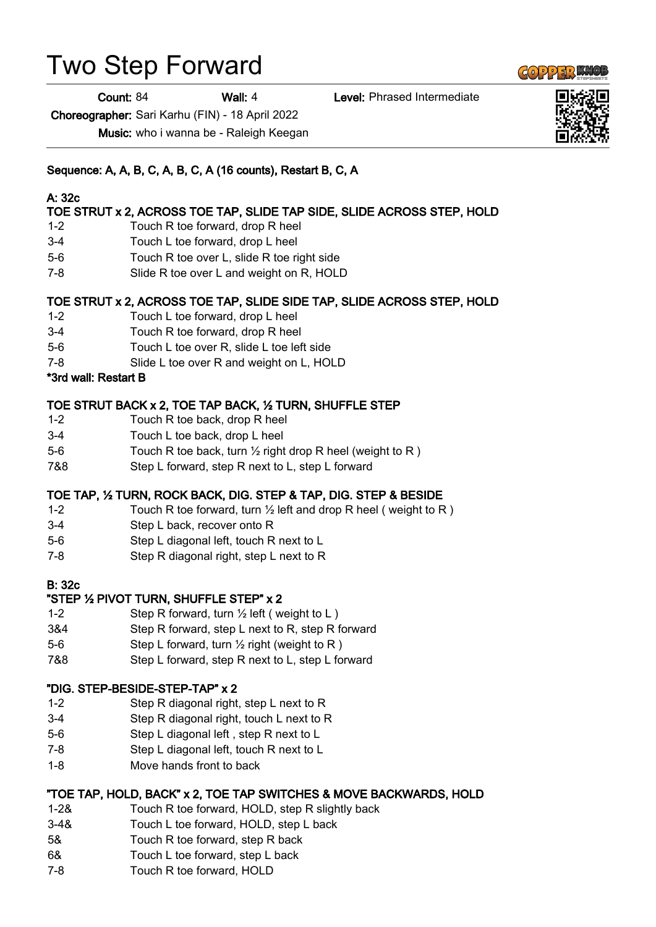# Two Step Forward

Count: 84 Wall: 4 Level: Phrased Intermediate

Choreographer: Sari Karhu (FIN) - 18 April 2022

Music: who i wanna be - Raleigh Keegan

# Sequence: A, A, B, C, A, B, C, A (16 counts), Restart B, C, A

### A: 32c

# TOE STRUT x 2, ACROSS TOE TAP, SLIDE TAP SIDE, SLIDE ACROSS STEP, HOLD

- 1-2 Touch R toe forward, drop R heel
- 3-4 Touch L toe forward, drop L heel
- 5-6 Touch R toe over L, slide R toe right side
- 7-8 Slide R toe over L and weight on R, HOLD

#### TOE STRUT x 2, ACROSS TOE TAP, SLIDE SIDE TAP, SLIDE ACROSS STEP, HOLD

- 1-2 Touch L toe forward, drop L heel
- 3-4 Touch R toe forward, drop R heel
- 5-6 Touch L toe over R, slide L toe left side
- 7-8 Slide L toe over R and weight on L, HOLD

#### \*3rd wall: Restart B

#### TOE STRUT BACK x 2, TOE TAP BACK, ½ TURN, SHUFFLE STEP

- 1-2 Touch R toe back, drop R heel
- 3-4 Touch L toe back, drop L heel
- 5-6 Touch R toe back, turn 1/2 right drop R heel (weight to R)
- 7&8 Step L forward, step R next to L, step L forward

#### TOE TAP, ½ TURN, ROCK BACK, DIG. STEP & TAP, DIG. STEP & BESIDE

- 1-2 Touch R toe forward, turn  $\frac{1}{2}$  left and drop R heel (weight to R)
- 3-4 Step L back, recover onto R
- 5-6 Step L diagonal left, touch R next to L
- 7-8 Step R diagonal right, step L next to R

#### B: 32c

#### "STEP ½ PIVOT TURN, SHUFFLE STEP" x 2

- 1-2 Step R forward, turn  $\frac{1}{2}$  left (weight to L)
- 3&4 Step R forward, step L next to R, step R forward
- 5-6 Step L forward, turn ½ right (weight to R )
- 7&8 Step L forward, step R next to L, step L forward

#### "DIG. STEP-BESIDE-STEP-TAP" x 2

- 1-2 Step R diagonal right, step L next to R
- 3-4 Step R diagonal right, touch L next to R
- 5-6 Step L diagonal left , step R next to L
- 7-8 Step L diagonal left, touch R next to L
- 1-8 Move hands front to back

#### "TOE TAP, HOLD, BACK" x 2, TOE TAP SWITCHES & MOVE BACKWARDS, HOLD

- 1-2& Touch R toe forward, HOLD, step R slightly back
- 3-4& Touch L toe forward, HOLD, step L back
- 5& Touch R toe forward, step R back
- 6& Touch L toe forward, step L back
- 7-8 Touch R toe forward, HOLD